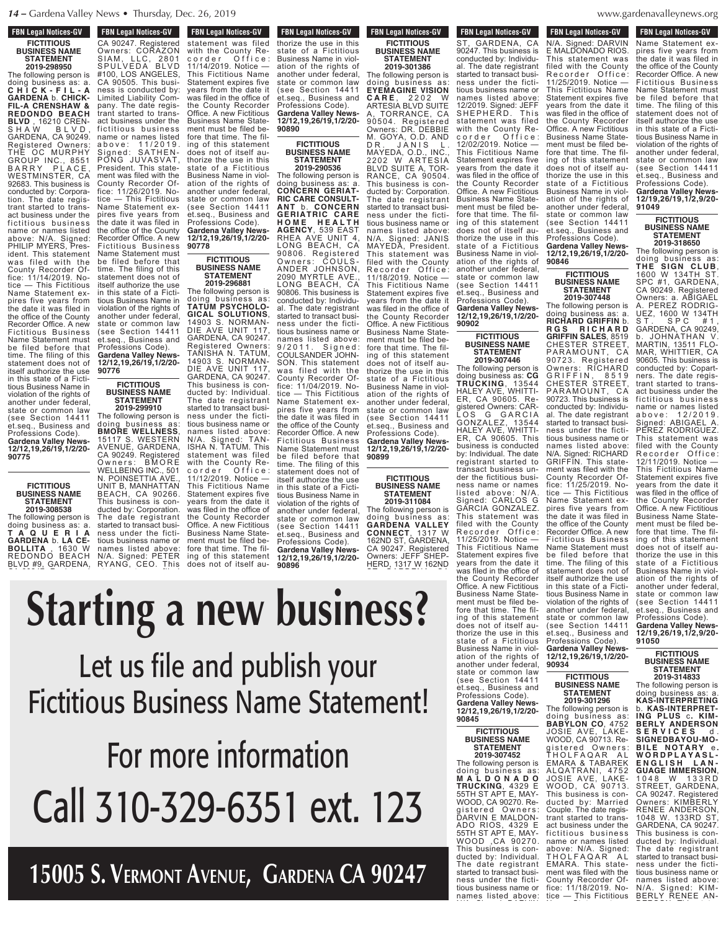**FBN Legal Notices-GV FICTITIOUS BUSINESS NAME STATEMENT**

**2019-298950**

The following person is doing business as: a. **C H I C K - F I L - A GARDENA** b. **CHICK-FIL-A CRENSHAW & REDONDO BEACH BLVD** , 16210 CREN-S H A W B L V D , GARDENA, CA 90249. Registered Owners: THE OC MURPHY GROUP INC., 8551 B A R R Y P L A C E , WESTMINSTER, CA 92683. This business is conducted by: Corporation. The date registrant started to transact business under the fictitious business name or names listed above: N/A. Signed: PHILIP MYERS, President. This statement was filed with the County Recorder Office: 11/14/2019. Notice — This Fictitious Name Statement expires five years from the date it was filed in the office of the County Recorder Office. A new Fictitious Business Name Statement must be filed before that time. The filing of this statement does not of itself authorize the use in this state of a Fictitious Business Name in violation of the rights of another under federal, state or common law (see Section 14411 et.seq., Business and Professions Code). **Gardena Valley News-12/12,19,26/19,1/2/20- 90775**

**FICTITIOUS BUSINESS NAME STATEMENT**

**2019-308538** The following person is doing business as: a. **T A Q U E R I A GARDENA** b. **LA CE-BOLLITA** , 1630 W REDONDO BEACH BLVD #9, GARDENA,

another under federal,

**90776**

**90778** CA 90247. Registered Owners: CORAZON SIAM, LLC, 2801 SPULVEDA BLVD #100, LOS ANGELES, CA 90505. This business is conducted by: Limited Liability Company. The date registrant started to transact business under the fictitious business name or names listed a b o v e : 1 1 / 2 0 1 9 . Signed: SATHEN-PONG JUVASVAT, President. This statement was filed with the County Recorder Office: 11/26/2019. Notice — This Fictitious Name Statement expires five years from the date it was filed in the office of the County Recorder Office. A new Fictitious Business Name Statement must be filed before that time. The filing of this statement does not of itself authorize the use in this state of a Fictitious Business Name in violation of the rights of another under federal, state or common law (see Section 14411 et.seq., Business and Professions Code).

**FICTITIOUS BUSINESS NAME STATEMENT**

**90776**

**2019-299910** The following person is doing business as: **BMORE WELLNESS**, 15117 S. WESTERN AVENUE, GARDENA, CA 90249. Registered Owners: BMORE WELLBEING INC., 501 N. POINSETTIA AVE., UNIT B, MANHATTAN BEACH, CA 90266. This business is conducted by: Corporation. The date registrant started to transact business under the fictitious business name or names listed above: N/A. Signed: PETER RYANG, CEO. This

**FBN Legal Notices-GV RYANGERS** CRIMINAL REGIST OF REAL PROPERTY statement was filed with the County Recorder Office: 11/14/2019. Notice — This Fictitious Name Statement expires five years from the date it was filed in the office of the County Recorder Office. A new Fictitious Business Name Statement must be filed before that time. The filing of this statement does not of itself authorize the use in this state of a Fictitious Business Name in violation of the rights of another under federal, state or common law (see Section 14411 et.seq., Business and Professions Code). **Gardena Valley News-12/12,19,26/19,1/2/20- FBN Legal Notices-GV** FON LEGAL NUTTLES-CIV

> **FICTITIOUS BUSINESS NAME STATEMENT 2019-296881**

The following person is doing business as: **TATUM PSYCHOLO-GICAL SOLUTIONS**, 14903 S. NORMAN-DIE AVE UNIT 117, GARDENA, CA 90247. Registered Owners: TANISHA N. TATUM, 14903 S. NORMAN-DIE AVE UNIT 117, GARDENA, CA 90247. This business is conducted by: Individual. The date registrant started to transact business under the fictitious business name or names listed above: N/A. Signed: TAN-ISHA N. TATUM. This statement was filed with the County Recorder Office: 11/12/2019. Notice — This Fictitious Name Statement expires five years from the date it was filed in the office of the County Recorder Office. A new Fictitious Business Name Statement must be filed before that time. The filing of this statement does not of itself au-**Gardena Valley News-12/12,19,26/19,1/2/20-**

**FBN Legal Notices-GV** rdin Leyal Nutles-dv thorize the use in this state of a Fictitious Business Name in violation of the rights of another under federal, state or common law state of common fair et.seq., Business and Professions Code). **Gardena Valley News-**

**12/12,19,26/19,1/2/20- 90890**

> **STATEMENT 2019-290536**

The following person is doing business as: a. **CONCERN GERIAT-RIC CARE CONSULT-ANT** b. **CONCERN GERIATRIC CARE H O M E H E A L T H AGENCY**, 539 EAST RHEA AVE UNIT 4, LONG BEACH, CA 90806. Registered Owners: COULS-ANDER JOHNSON, 2090 MYRTLE AVE., LONG BEACH, CA 90806. This business is conducted by: Individual. The date registrant started to transact business under the fictitious business name or names listed above: 9/2011. Signed: COULSANDER JOHN-SON. This statement was filed with the County Recorder Office: 11/04/2019. Notice — This Fictitious Name Statement expires five years from the date it was filed in the office of the County Recorder Office. A new Fictitious Business Name Statement must be filed before that<br>time. The filing of this The filing of this statement does not of itself authorize the use in this state of a Fictitious Business Name in violation of the rights of another under federal, state or common law (see Section 14411 et.seq., Business and Professions Code). **Gardena Valley News-12/12,19,26/19,1/2/20-**

**90896**

**FBN Legal Notices-GV FICTITIOUS BUSINESS NAME STATEMENT 2019-301386**

The following person is doing business as: **EYEMAGINE VISION C A R E** , 2 2 0 2 W ARTESIA BLVD SUITE A, TORRANCE, CA 90504. Registered Owners: DR. DEBBIE M. GOYA, O.D. AND DR. JANIS L. MAYEDA, O.D., INC., 2202 W ARTESIA BLVD SUITE A, TOR-RANCE, CA 90504. This business is conducted by: Corporation The date registrant started to transact business under the fictitious business name or names listed above: N/A. Signed: JANIS MAYEDA, President. This statement was filed with the County Recorder Office: 11/18/2019. Notice — This Fictitious Name Statement expires five years from the date it was filed in the office of the County Recorder Office. A new Fictitious Business Name Statement must be filed before that time. The filing of this statement does not of itself authorize the use in this state of a Fictitious Business Name in violation of the rights of another under federal, state or common law (see Section 14411 et.seq., Business and

Professions Code). **Gardena Valley News-12/12,19,26/19,1/2/20- 90899**

### **FICTITIOUS BUSINESS NAME STATEMENT 2019-311084**

The following person is doing business as: **GARDENA VALLEY CONNECT**, 1317 W 162ND ST, GARDENA, CA 90247. Registered Owners: JEFF SHEP-HERD, 1317 W 162ND

**12/12,19,26/19,1/2/20-**

**FBN Legal Notices-GV** rbiv Leyal Nutiles-dv N/A. Signed: DARVIN E MALDONADO RIOS. This statement was **FBN Legal Notices-GV HERD, 1317 WEIGHT WEIGHT** ST, GARDENA, CA 90247. This business is conducted by: Individual. The date registrant started to transact business under the fictitious business name or names listed above: 12/2019. Signed: JEFF SHEPHERD. This statement was filed with the County Recorder Office:

state or common law (see Section 14411 et.seq., Business and Professions Code).

> **FICTITIOUS BUSINESS NAME STATEMENT 2019-307446**

11/25/2019. Notice —

another under federal, state or common law (see Section 14411 et.seq., Business and Professions Code).

> **FICTITIOUS BUSINESS NAME STATEMENT 2019-307452**

This business is con-

**90845**

**90902**

filed with the County<br>Recorder Office: Recorder Office: 11/25/2019. Notice — This Fictitious Name Statement expires five years from the date it was filed in the office of the County Recorder Office. A new Fictitious Business Name Statement must be filed before that time. The filing of this statement does not of itself authorize the use in this state of a Fictitious Business Name in violation of the rights of another under federal, state or common law (see Section 14411 et.seq., Business and Professions Code). **Gardena Valley News-12/12,19,26/19,1/2/20- 90846** 12/02/2019. Notice — This Fictitious Name Statement expires five years from the date it was filed in the office of the County Recorder Office. A new Fictitious Business Name Statement must be filed before that time. The filing of this statement does not of itself authorize the use in this state of a Fictitious Business Name in violation of the rights of another under federal,

 $x = WWWQ$ ness under the fiction of the field of the field of the field of the field of the field of the field of the field of the field of the field of the field of the field of the field of the field of the field of the field of t

**FICTITIOUS BUSINESS NAME STATEMENT 2019-307448**

The following person is doing business as: a. **RICHARD GRIFFIN** b. **R G S R I C H A R D GRIFFIN SALES**, 8519 CHESTER STREET, PARAMOUNT, CA 90723. Registered Owners: RICHARD G R I F F I N , 85 1 9 CHESTER STREET, PARAMOUNT, CA 90723. This business is conducted by: Individual. The date registrant started to transact business under the fictitious business name or names listed above: N/A. Signed: RICHARD GRIFFIN. This statement was filed with the County Recorder Office: 11/25/2019. Notice — This Fictitious Name Statement expires five years from the date it was filed in the office of the County Recorder Office. A new Fictitious Business Name Statement must be filed before that time. The filing of this statement does not of itself authorize the use in this state of a Fictitious Business Name in violation of the rights of another under federal, state or common law (see Section 14411 et.seq., Business and Professions Code). **Gardena Valley News-12/12,19,26/19,1/2/20- Gardena Valley News-12/12,19,26/19,1/2/20-** The following person is doing business as: **CG TRUCKING**, 13544 HALEY AVE, WHITTI-ER, CA 90605. Registered Owners: CAR-LOS G GARCIA GONZALEZ, 13544 HALEY AVE, WHITTI-ER, CA 90605. This business is conducted by: Individual. The date registrant started to transact business under the fictitious business name or names listed above: N/A. Signed: CARLOS G GARCIA GONZALEZ. This statement was filed with the County Recorder Office: This Fictitious Name Statement expires five years from the date it was filed in the office of the County Recorder Office. A new Fictitious Business Name Statement must be filed before that time. The filing of this statement does not of itself authorize the use in this state of a Fictitious Business Name in violation of the rights of

# **FICTITIOUS BUSINESS NAME STATEMENT**

**90934**

**2019-301296** The following person is doing business as: **BABYLON CO**, 4752 JOSIE AVE, LAKE-WOOD, CA 90713. Registered Owners: THOLFAQAR AL EMARA & TABAREK ALQATRANI, 4752 JOSIE AVE, LAKE-WOOD, CA 90713. This business is conducted by: Married Couple. The date registrant started to transact business under the fictitious business name or names listed above: N/A. Signed: THOLFAQAR<sup>-</sup> AL EMARA. This statement was filed with the County Recorder Office: 11/18/2019. Notice — This Fictitious **Gardena Valley News-12/12,19,26/19,1/2/20-** The following person is doing business as: **M A L D O N A D O TRUCKING**, 4329 E 55TH ST APT E, MAY-WOOD, CA 90270. Registered Owners: DARVIN E MALDON-ADO RIOS, 4329 E 55TH ST APT E, MAY-WOOD ,CA 90270. ducted by: Individual. The date registrant started to transact business under the fictitious business name or names listed above:

**FBN Legal Notices-GV This Figure Motive 2018** Name Statement expires five years from the date it was filed in the office of the County Recorder Office. A new Fictitious Business Name Statement must be filed before that time. The filing of this statement does not of itself authorize the use in this state of a Fictitious Business Name in violation of the rights of another under federal, state or common law (see Section 14411 et.seq., Business and Professions Code).

denavalleynews.org  $\mathcal{C}$ 

**Gardena Valley News-12/19,26/19,1/2,9/20- 91049**

### **FICTITIOUS BUSINESS NAME STATEMENT 2019-318650**

The following person is doing business as: **THE SIGN CLUB**, 1600 W 134TH ST. SPC #1, GARDENA, CA 90249. Registered Owners: a. ABIGAEL A. PEREZ RODRIG-UEZ, 1600 W 134TH ST. SPC #1, GARDENA, CA 90249, b. JOHNATHAN V. MARTIN, 13511 FLO-MAR, WHITTIER, CA 90605. This business is conducted by: Copartners. The date registrant started to transact business under the fictitious business name or names listed a b o v e : 1 2 / 2 0 1 9 . Signed: ABIGAEL A. PEREZ RODRIGUEZ. This statement was filed with the County Recorder Office: 12/11/2019. Notice — This Fictitious Name Statement expires five years from the date it was filed in the office of the County Recorder Office. A new Fictitious Business Name Statement must be filed before that time. The filing of this statement does not of itself authorize the use in this state of a Fictitious Business Name in violation of the rights of another under federal, state or common law (see Section 14411 et.seq., Business and Professions Code). **Gardena Valley News-12/19,26/19,1/2,9/20- 91050**

### **FICTITIOUS BUSINESS NAME STATEMENT 2019-314833**

The following person is doing business as: a. **KAS-INTERPRETING** b. **KAS-INTERPRET-ING PLUS** c**. KIM-BERLY ANDERSON S E R V I C E S** d . **SIGNEDBAYOU-MO-B ILE NOT A R Y** e **. W O R D P L A Y A S L - E N G L I S H L A N - GUAGE IMMERSION**, 1048 W 133RD STREET, GARDENA, CA 90247. Registered Owners: KIMBERLY RENEE ANDERSON, 1048 W. 133RD ST, GARDENA, CA 90247. This business is conducted by: Individual. The date registrant started to transact business under the fictitious business name or names listed above: N/A. Signed: KIM-BERLY RENEE AN-

#### **Starting a new business?** 90247. This business is conducted by: Individual. The date registrant  $\boldsymbol{\mathsf{\Omega}}$ ness under the fictitious business name or  $\sim$   $\sim$   $\sim$ **BAQUAL** state or common law  $\blacksquare$  in the Section 1441  $\mathbf{e}$  and  $\mathbf{e}$  and  $\mathbf{e}$ **12/12,19,26/19,1/2/20** c o r d e r o f i c e r o f i c e e i c e r o f i c e r o f i c e r o f i c e r o f i c e r o f i c e r o f i 11/14/2019. Notice  $\sim$ tina*n* A Statement expires five  $\mathbf{u}$  is defined the date it  $\mathbf{u}$  $\cdots$   $\blacksquare$ the County Recorder Owners: CORAZON SIA M , L L L C , 2 8 0 1  $\blacksquare$ **100, LOS ANGELES, LOS ANGELES, LOS** CAN ness is considered by:  $\sim$  com-

Let us file and publish your Fictitious Business Name Statement! c o r d e r O f f i c e : 12/02/2019. Notice mont i  $\blacksquare$ the County Recording **90890** Business Name Statement must be filed beat itis tii*e* does no thorize the use in this  $\overline{\mathbf{u}}$  is  $\mathbf{v}$  and  $\mathbf{v}$ IIS DUSI as son fi c titious bus ines s name or names listed a b o v e : 1 1 / 2 0 1 9 . PONG JUVASVAT, President. This state is a state-ofment with the state with the state with the state of the state of the state with the state with the state with **County** Report Office

For more information Call 310-329-6351 ext. 123  $\sim$   $\sim$   $\sim$   $\sim$  $1$ nother under  $\blacksquare$  $\blacksquare$  $\blacksquare$ et.seq., Business and **For me 12/12,19,26/19,1/2/20-** Name Statement must  $\sim$  11  $\Gamma$   $\sim$  The filing of the filing of the filing of the filing of the filing of the filing of the filing of the filing of the filing of the filing of the filing of the filing of the filing of the filing of the filing of t statement does not of itself authorize the use of the use of the use of the use of the use of the use of the use of the use of the u in the state of  $\sim$ 

**15005 S. Vermont Avenue, Gardena CA 90247** et.seq.,  $\mathbf{S}$ Professions Code). **Gardena Valley News-**

**FICTITIOUS BUSINESS NAME**